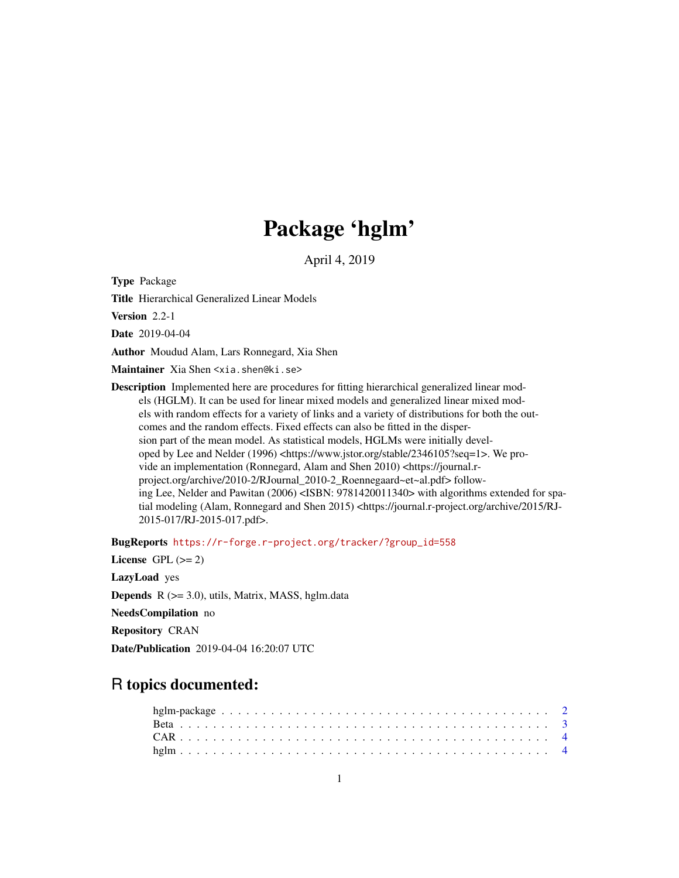# Package 'hglm'

April 4, 2019

<span id="page-0-0"></span>Type Package

Title Hierarchical Generalized Linear Models

Version 2.2-1

Date 2019-04-04

Author Moudud Alam, Lars Ronnegard, Xia Shen

Maintainer Xia Shen <xia.shen@ki.se>

Description Implemented here are procedures for fitting hierarchical generalized linear models (HGLM). It can be used for linear mixed models and generalized linear mixed models with random effects for a variety of links and a variety of distributions for both the outcomes and the random effects. Fixed effects can also be fitted in the dispersion part of the mean model. As statistical models, HGLMs were initially developed by Lee and Nelder (1996) <https://www.jstor.org/stable/2346105?seq=1>. We provide an implementation (Ronnegard, Alam and Shen 2010) <https://journal.rproject.org/archive/2010-2/RJournal\_2010-2\_Roennegaard~et~al.pdf> following Lee, Nelder and Pawitan (2006) <ISBN: 9781420011340> with algorithms extended for spatial modeling (Alam, Ronnegard and Shen 2015) <https://journal.r-project.org/archive/2015/RJ-2015-017/RJ-2015-017.pdf>.

BugReports [https://r-forge.r-project.org/tracker/?group\\_id=558](https://r-forge.r-project.org/tracker/?group_id=558)

License GPL  $(>= 2)$ LazyLoad yes **Depends**  $R$  ( $>= 3.0$ ), utils, Matrix, MASS, hglm.data NeedsCompilation no Repository CRAN Date/Publication 2019-04-04 16:20:07 UTC

## R topics documented: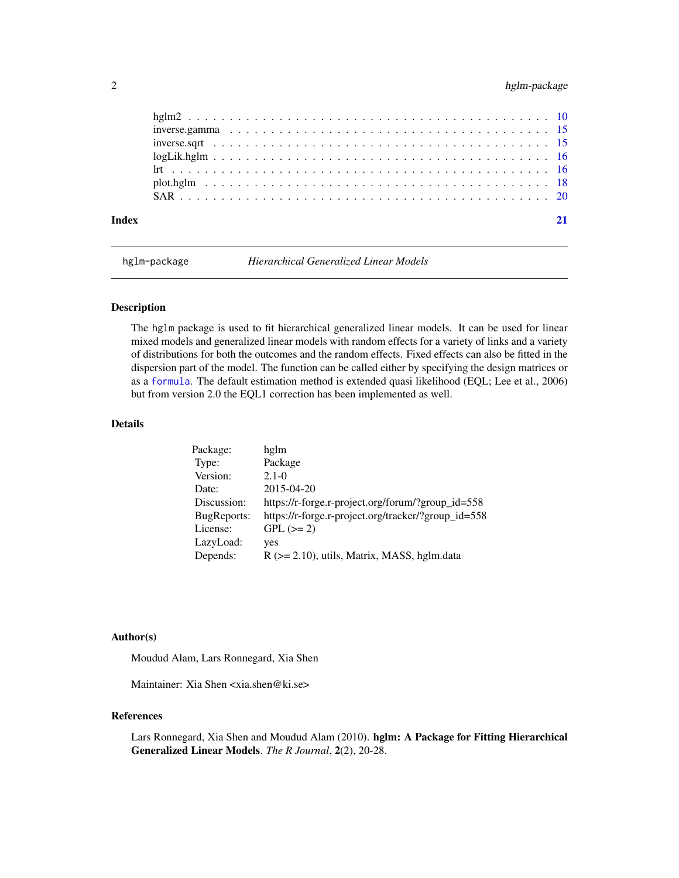#### <span id="page-1-0"></span>2 hglm-package

hglm-package *Hierarchical Generalized Linear Models*

#### Description

The hglm package is used to fit hierarchical generalized linear models. It can be used for linear mixed models and generalized linear models with random effects for a variety of links and a variety of distributions for both the outcomes and the random effects. Fixed effects can also be fitted in the dispersion part of the model. The function can be called either by specifying the design matrices or as a [formula](#page-0-0). The default estimation method is extended quasi likelihood (EQL; Lee et al., 2006) but from version 2.0 the EQL1 correction has been implemented as well.

#### Details

| Package:    | hglm                                                |
|-------------|-----------------------------------------------------|
| Type:       | Package                                             |
| Version:    | $2.1 - 0$                                           |
| Date:       | $2015 - 04 - 20$                                    |
| Discussion: | https://r-forge.r-project.org/forum/?group_id=558   |
| BugReports: | https://r-forge.r-project.org/tracker/?group_id=558 |
| License:    | $GPL (=2)$                                          |
| LazyLoad:   | yes                                                 |
| Depends:    | $R$ ( $>= 2.10$ ), utils, Matrix, MASS, hglm.data   |

#### Author(s)

Moudud Alam, Lars Ronnegard, Xia Shen

Maintainer: Xia Shen <xia.shen@ki.se>

#### References

Lars Ronnegard, Xia Shen and Moudud Alam (2010). hglm: A Package for Fitting Hierarchical Generalized Linear Models. *The R Journal*, 2(2), 20-28.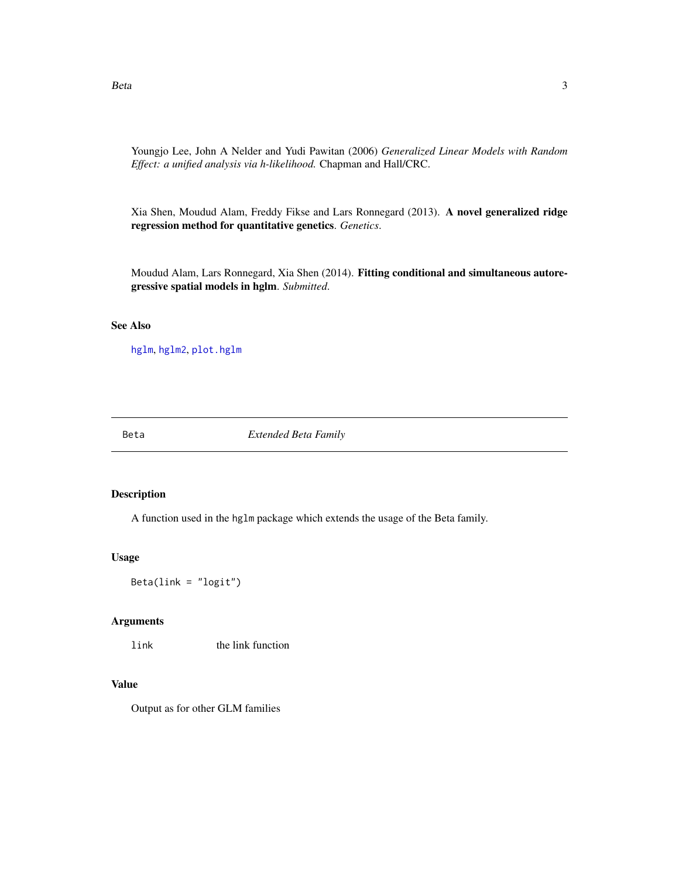<span id="page-2-0"></span>Youngjo Lee, John A Nelder and Yudi Pawitan (2006) *Generalized Linear Models with Random Effect: a unified analysis via h-likelihood.* Chapman and Hall/CRC.

Xia Shen, Moudud Alam, Freddy Fikse and Lars Ronnegard (2013). A novel generalized ridge regression method for quantitative genetics. *Genetics*.

Moudud Alam, Lars Ronnegard, Xia Shen (2014). Fitting conditional and simultaneous autoregressive spatial models in hglm. *Submitted*.

#### See Also

[hglm](#page-3-1), [hglm2](#page-9-1), [plot.hglm](#page-17-1)

Beta *Extended Beta Family*

#### Description

A function used in the hglm package which extends the usage of the Beta family.

#### Usage

Beta(link = "logit")

#### Arguments

link the link function

#### Value

Output as for other GLM families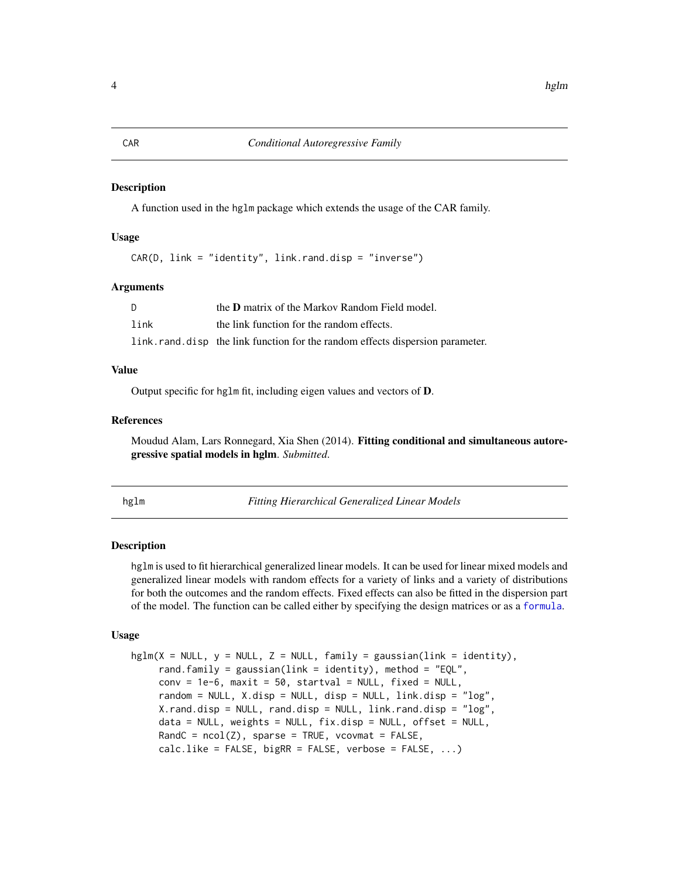#### <span id="page-3-0"></span>Description

A function used in the hglm package which extends the usage of the CAR family.

#### Usage

 $CAR(D, link = "identity", link.random, disp = "inverse")$ 

#### Arguments

|      | the <b>D</b> matrix of the Markov Random Field model.                         |
|------|-------------------------------------------------------------------------------|
| link | the link function for the random effects.                                     |
|      | link.rand.disp the link function for the random effects dispersion parameter. |

#### Value

Output specific for hglm fit, including eigen values and vectors of D.

#### References

Moudud Alam, Lars Ronnegard, Xia Shen (2014). Fitting conditional and simultaneous autoregressive spatial models in hglm. *Submitted*.

<span id="page-3-1"></span>hglm *Fitting Hierarchical Generalized Linear Models*

#### Description

hglm is used to fit hierarchical generalized linear models. It can be used for linear mixed models and generalized linear models with random effects for a variety of links and a variety of distributions for both the outcomes and the random effects. Fixed effects can also be fitted in the dispersion part of the model. The function can be called either by specifying the design matrices or as a [formula](#page-0-0).

#### Usage

```
hglm(X = NULL, y = NULL, Z = NULL, family = gaussian(link = identity),rand.family = gaussian(link = identity), method = "EQL",conv = 1e-6, maxit = 50, startval = NULL, fixed = NULL,
     random = NULL, X.disp = NULL, disp = NULL, link.disp = "log",
     X.rand.disp = NULL, rand.disp = NULL, link.rand.disp = "log",
     data = NULL, weights = NULL, fix.disp = NULL, offset = NULL,
     RandC = ncol(Z), sparse = TRUE, vcovmat = FALSE,
     calc. like = FALSE, bigRR = FALSE, verbose = FALSE, ...)
```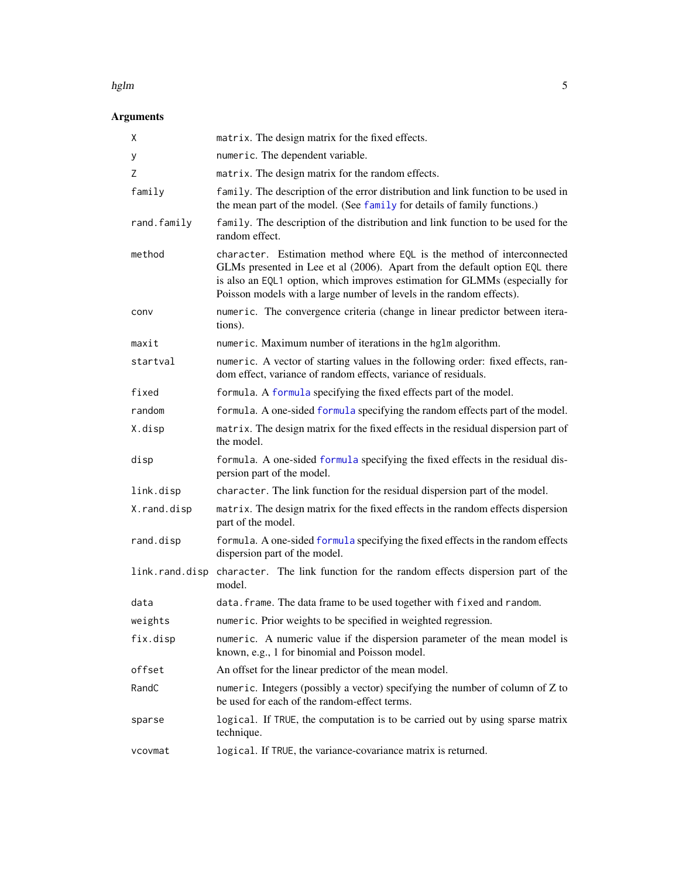#### <span id="page-4-0"></span>hglm 5

### Arguments

| Χ           | matrix. The design matrix for the fixed effects.                                                                                                                                                                                                                                                             |
|-------------|--------------------------------------------------------------------------------------------------------------------------------------------------------------------------------------------------------------------------------------------------------------------------------------------------------------|
| у           | numeric. The dependent variable.                                                                                                                                                                                                                                                                             |
| Ζ           | matrix. The design matrix for the random effects.                                                                                                                                                                                                                                                            |
| family      | family. The description of the error distribution and link function to be used in<br>the mean part of the model. (See family for details of family functions.)                                                                                                                                               |
| rand.family | family. The description of the distribution and link function to be used for the<br>random effect.                                                                                                                                                                                                           |
| method      | character. Estimation method where EQL is the method of interconnected<br>GLMs presented in Lee et al (2006). Apart from the default option EQL there<br>is also an EQL1 option, which improves estimation for GLMMs (especially for<br>Poisson models with a large number of levels in the random effects). |
| conv        | numeric. The convergence criteria (change in linear predictor between itera-<br>tions).                                                                                                                                                                                                                      |
| maxit       | numeric. Maximum number of iterations in the hglm algorithm.                                                                                                                                                                                                                                                 |
| startval    | numeric. A vector of starting values in the following order: fixed effects, ran-<br>dom effect, variance of random effects, variance of residuals.                                                                                                                                                           |
| fixed       | formula. A formula specifying the fixed effects part of the model.                                                                                                                                                                                                                                           |
| random      | formula. A one-sided formula specifying the random effects part of the model.                                                                                                                                                                                                                                |
| X.disp      | matrix. The design matrix for the fixed effects in the residual dispersion part of<br>the model.                                                                                                                                                                                                             |
| disp        | formula. A one-sided formula specifying the fixed effects in the residual dis-<br>persion part of the model.                                                                                                                                                                                                 |
| link.disp   | character. The link function for the residual dispersion part of the model.                                                                                                                                                                                                                                  |
| X.rand.disp | matrix. The design matrix for the fixed effects in the random effects dispersion<br>part of the model.                                                                                                                                                                                                       |
| rand.disp   | formula. A one-sided formula specifying the fixed effects in the random effects<br>dispersion part of the model.                                                                                                                                                                                             |
|             | link.rand.disp character. The link function for the random effects dispersion part of the<br>model.                                                                                                                                                                                                          |
| data        | data. frame. The data frame to be used together with fixed and random.                                                                                                                                                                                                                                       |
| weights     | numeric. Prior weights to be specified in weighted regression.                                                                                                                                                                                                                                               |
| fix.disp    | numeric. A numeric value if the dispersion parameter of the mean model is<br>known, e.g., 1 for binomial and Poisson model.                                                                                                                                                                                  |
| offset      | An offset for the linear predictor of the mean model.                                                                                                                                                                                                                                                        |
| RandC       | numeric. Integers (possibly a vector) specifying the number of column of $Z$ to<br>be used for each of the random-effect terms.                                                                                                                                                                              |
| sparse      | logical. If TRUE, the computation is to be carried out by using sparse matrix<br>technique.                                                                                                                                                                                                                  |
| vcovmat     | logical. If TRUE, the variance-covariance matrix is returned.                                                                                                                                                                                                                                                |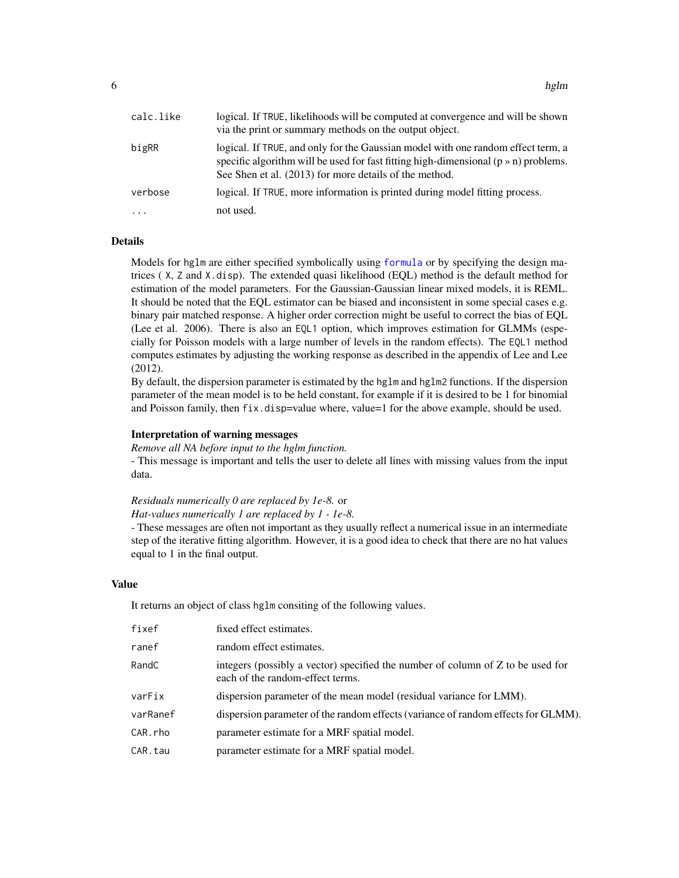<span id="page-5-0"></span>

| calc.like           | logical. If TRUE, likelihoods will be computed at convergence and will be shown<br>via the print or summary methods on the output object.                                                                                                |
|---------------------|------------------------------------------------------------------------------------------------------------------------------------------------------------------------------------------------------------------------------------------|
| bigRR               | logical. If TRUE, and only for the Gaussian model with one random effect term, a<br>specific algorithm will be used for fast fitting high-dimensional $(p \times n)$ problems.<br>See Shen et al. (2013) for more details of the method. |
| verbose             | logical. If TRUE, more information is printed during model fitting process.                                                                                                                                                              |
| $\cdot \cdot \cdot$ | not used.                                                                                                                                                                                                                                |

#### **Details**

Models for hglm are either specified symbolically using [formula](#page-0-0) or by specifying the design matrices ( X, Z and X.disp). The extended quasi likelihood (EQL) method is the default method for estimation of the model parameters. For the Gaussian-Gaussian linear mixed models, it is REML. It should be noted that the EQL estimator can be biased and inconsistent in some special cases e.g. binary pair matched response. A higher order correction might be useful to correct the bias of EQL (Lee et al. 2006). There is also an EQL1 option, which improves estimation for GLMMs (especially for Poisson models with a large number of levels in the random effects). The EQL1 method computes estimates by adjusting the working response as described in the appendix of Lee and Lee (2012).

By default, the dispersion parameter is estimated by the hglm and hglm2 functions. If the dispersion parameter of the mean model is to be held constant, for example if it is desired to be 1 for binomial and Poisson family, then fix.disp=value where, value=1 for the above example, should be used.

#### Interpretation of warning messages

*Remove all NA before input to the hglm function.*

- This message is important and tells the user to delete all lines with missing values from the input data.

#### *Residuals numerically 0 are replaced by 1e-8.* or

#### *Hat-values numerically 1 are replaced by 1 - 1e-8.*

- These messages are often not important as they usually reflect a numerical issue in an intermediate step of the iterative fitting algorithm. However, it is a good idea to check that there are no hat values equal to 1 in the final output.

#### Value

It returns an object of class hglm consiting of the following values.

| fixef    | fixed effect estimates.                                                                                             |
|----------|---------------------------------------------------------------------------------------------------------------------|
| ranef    | random effect estimates.                                                                                            |
| RandC    | integers (possibly a vector) specified the number of column of Z to be used for<br>each of the random-effect terms. |
| varFix   | dispersion parameter of the mean model (residual variance for LMM).                                                 |
| varRanef | dispersion parameter of the random effects (variance of random effects for GLMM).                                   |
| CAR.rho  | parameter estimate for a MRF spatial model.                                                                         |
| CAR.tau  | parameter estimate for a MRF spatial model.                                                                         |
|          |                                                                                                                     |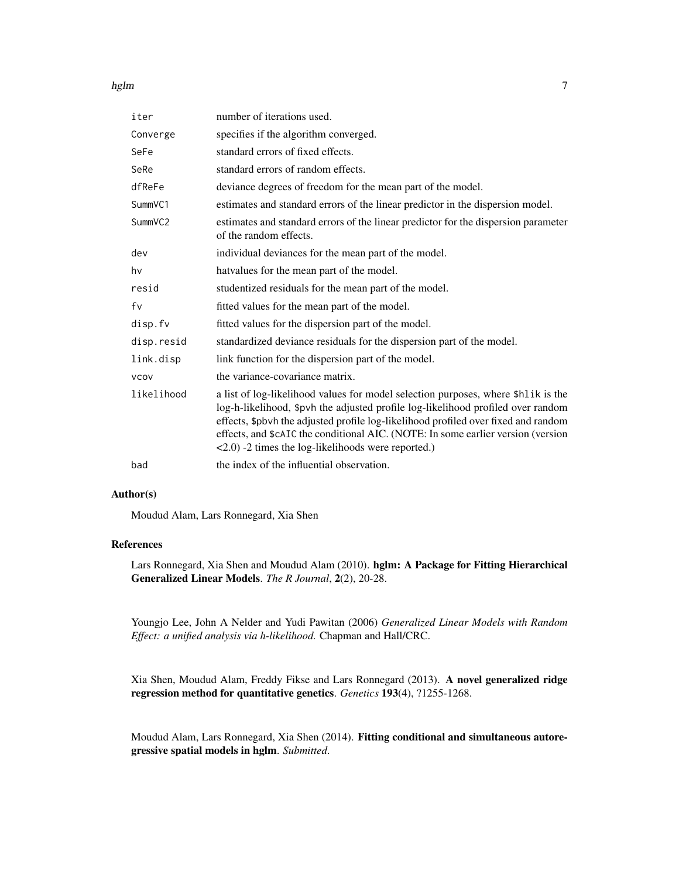#### hglm  $\sim$  7

| iter        | number of iterations used.                                                                                                                                                                                                                                                                                                                                                                                            |
|-------------|-----------------------------------------------------------------------------------------------------------------------------------------------------------------------------------------------------------------------------------------------------------------------------------------------------------------------------------------------------------------------------------------------------------------------|
| Converge    | specifies if the algorithm converged.                                                                                                                                                                                                                                                                                                                                                                                 |
| SeFe        | standard errors of fixed effects.                                                                                                                                                                                                                                                                                                                                                                                     |
| SeRe        | standard errors of random effects.                                                                                                                                                                                                                                                                                                                                                                                    |
| dfReFe      | deviance degrees of freedom for the mean part of the model.                                                                                                                                                                                                                                                                                                                                                           |
| SummVC1     | estimates and standard errors of the linear predictor in the dispersion model.                                                                                                                                                                                                                                                                                                                                        |
| SummVC2     | estimates and standard errors of the linear predictor for the dispersion parameter<br>of the random effects.                                                                                                                                                                                                                                                                                                          |
| dev         | individual deviances for the mean part of the model.                                                                                                                                                                                                                                                                                                                                                                  |
| hv          | hatvalues for the mean part of the model.                                                                                                                                                                                                                                                                                                                                                                             |
| resid       | studentized residuals for the mean part of the model.                                                                                                                                                                                                                                                                                                                                                                 |
| fv          | fitted values for the mean part of the model.                                                                                                                                                                                                                                                                                                                                                                         |
| disp.fv     | fitted values for the dispersion part of the model.                                                                                                                                                                                                                                                                                                                                                                   |
| disp.resid  | standardized deviance residuals for the dispersion part of the model.                                                                                                                                                                                                                                                                                                                                                 |
| link.disp   | link function for the dispersion part of the model.                                                                                                                                                                                                                                                                                                                                                                   |
| <b>VCOV</b> | the variance-covariance matrix.                                                                                                                                                                                                                                                                                                                                                                                       |
| likelihood  | a list of log-likelihood values for model selection purposes, where \$hlik is the<br>log-h-likelihood, \$pvh the adjusted profile log-likelihood profiled over random<br>effects, \$pbvh the adjusted profile log-likelihood profiled over fixed and random<br>effects, and \$cAIC the conditional AIC. (NOTE: In some earlier version (version<br>$\langle 2.0 \rangle$ -2 times the log-likelihoods were reported.) |
| bad         | the index of the influential observation.                                                                                                                                                                                                                                                                                                                                                                             |

#### Author(s)

Moudud Alam, Lars Ronnegard, Xia Shen

#### References

Lars Ronnegard, Xia Shen and Moudud Alam (2010). hglm: A Package for Fitting Hierarchical Generalized Linear Models. *The R Journal*, 2(2), 20-28.

Youngjo Lee, John A Nelder and Yudi Pawitan (2006) *Generalized Linear Models with Random Effect: a unified analysis via h-likelihood.* Chapman and Hall/CRC.

Xia Shen, Moudud Alam, Freddy Fikse and Lars Ronnegard (2013). A novel generalized ridge regression method for quantitative genetics. *Genetics* 193(4), ?1255-1268.

Moudud Alam, Lars Ronnegard, Xia Shen (2014). Fitting conditional and simultaneous autoregressive spatial models in hglm. *Submitted*.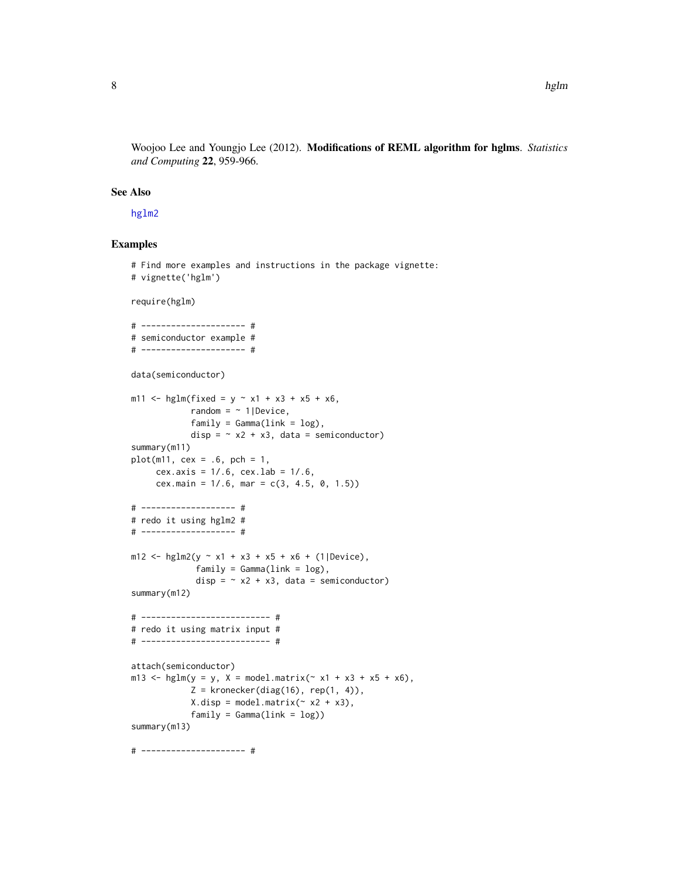<span id="page-7-0"></span>Woojoo Lee and Youngjo Lee (2012). Modifications of REML algorithm for hglms. *Statistics and Computing* 22, 959-966.

#### See Also

[hglm2](#page-9-1)

#### Examples

```
# Find more examples and instructions in the package vignette:
# vignette('hglm')
require(hglm)
# --------------------- #
# semiconductor example #
# --------------------- #
data(semiconductor)
m11 <- hglm(fixed = y \sim x1 + x3 + x5 + x6,
            random = \sim 1|Device,
            family = Gamma(link = log),
            disp = \sim x2 + x3, data = semiconductor)
summary(m11)
plot(m11, cex = .6, pch = 1,cex.axis = 1/.6, cex.lab = 1/.6,
     cex.main = 1/.6, mar = c(3, 4.5, 0, 1.5))
# ------------------- #
# redo it using hglm2 #
# ------------------- #
m12 <- hglm2(y \sim x1 + x3 + x5 + x6 + (1|Device),
             family = Gamma(link = log),disp = \sim x2 + x3, data = semiconductor)
summary(m12)
# -------------------------- #
# redo it using matrix input #
# -------------------------- #
attach(semiconductor)
m13 \le - \text{hglm}(y = y, X = \text{model.matrix}(\sim x1 + x3 + x5 + x6),Z = kronecker(diag(16), rep(1, 4)),
            X.disp = model.matrix (~ x2 + x3),family = Gamma(link = log))summary(m13)
# --------------------- #
```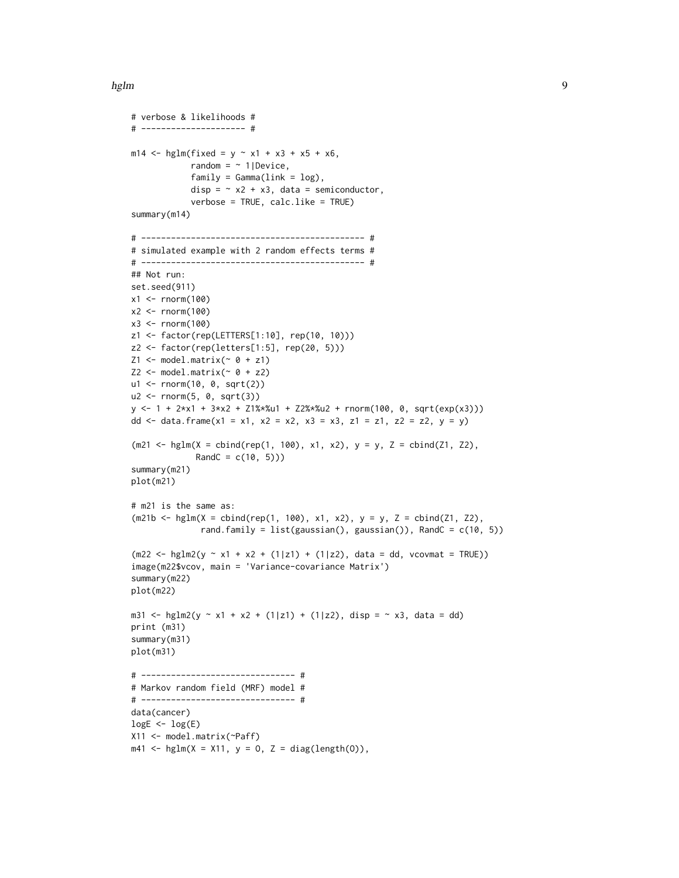#### hglm 9

```
# verbose & likelihoods #
# --------------------- #
m14 <- hglm(fixed = y ~ x1 + x3 + x5 + x6,
             random = \sim 1|Device,
             family = Gamma(link = log),
             disp = \sim x2 + x3, data = semiconductor,
             verbose = TRUE, calc.like = TRUE)
summary(m14)
# --------------------------------------------- #
# simulated example with 2 random effects terms #
# --------------------------------------------- #
## Not run:
set.seed(911)
x1 <- rnorm(100)
x2 < - rnorm(100)
x3 < - rnorm(100)
z1 <- factor(rep(LETTERS[1:10], rep(10, 10)))
z2 <- factor(rep(letters[1:5], rep(20, 5)))
Z1 \leftarrow \text{model.matrix}(\sim 0 + z1)Z2 \leq - model.matrix(\sim 0 + z2)
u1 <- rnorm(10, 0, sqrt(2))
u2 <- rnorm(5, 0, sqrt(3))
y <- 1 + 2*x1 + 3*x2 + Z1%*%u1 + Z2%*%u2 + rnorm(100, 0, sqrt(exp(x3)))
dd <- data.frame(x1 = x1, x2 = x2, x3 = x3, z1 = z1, z2 = z2, y = y)
(m21 \leq - \text{hglm}(X = \text{cbind}(rep(1, 100), x1, x2), y = y, Z = \text{cbind}(Z1, Z2),RandC = c(10, 5))summary(m21)
plot(m21)
# m21 is the same as:
(m21b <- hglm(X = cbind(rep(1, 100), x1, x2), y = y, Z = cbind(Z1, Z2),
               rand.family = list(gaussian(), gaussian()), RandC = c(10, 5))
(m22 < - \text{hglm2}(y \sim x1 + x2 + (1|z1) + (1|z2), \text{data} = dd, \text{vcovmat} = \text{TRUE})image(m22$vcov, main = 'Variance-covariance Matrix')
summary(m22)
plot(m22)
m31 <- hglm2(y ~ x1 + x2 + (1|z1) + (1|z2), disp = ~ x3, data = dd)
print (m31)
summary(m31)
plot(m31)
# ------------------------------- #
# Markov random field (MRF) model #
# ------------------------------- #
data(cancer)
logE < - log(E)X11 <- model.matrix(~Paff)
m41 <- hglm(X = X11, y = 0, Z = diag(length(0)),
```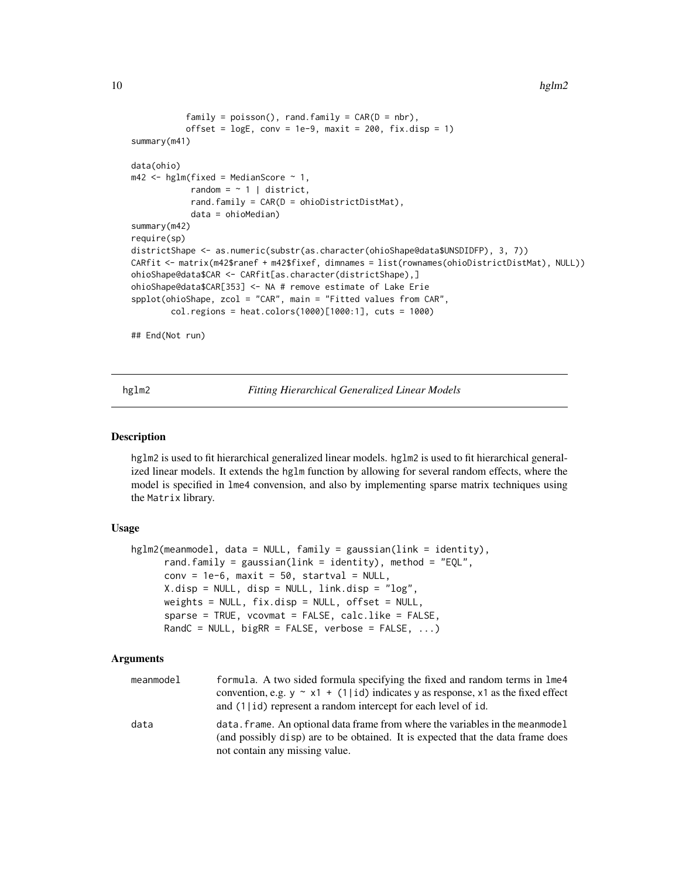```
family = poisson(), rand-family = CAR(D = nbr),offset = logE, conv = 1e-9, maxit = 200, fix.disp = 1)
summary(m41)
data(ohio)
m42 \leq - hglm(fixed = MedianScore \sim 1,
            random = \sim 1 | district,
            rand.family = CAR(D = ohioDistrictDistMat),
            data = ohioMedian)
summary(m42)
require(sp)
districtShape <- as.numeric(substr(as.character(ohioShape@data$UNSDIDFP), 3, 7))
CARfit <- matrix(m42$ranef + m42$fixef, dimnames = list(rownames(ohioDistrictDistMat), NULL))
ohioShape@data$CAR <- CARfit[as.character(districtShape),]
ohioShape@data$CAR[353] <- NA # remove estimate of Lake Erie
spplot(ohioShape, zcol = "CAR", main = "Fitted values from CAR",
        col.regions = heat.colors(1000)[1000:1], cuts = 1000)
## End(Not run)
```
<span id="page-9-1"></span>hglm2 *Fitting Hierarchical Generalized Linear Models*

#### Description

hglm2 is used to fit hierarchical generalized linear models. hglm2 is used to fit hierarchical generalized linear models. It extends the hglm function by allowing for several random effects, where the model is specified in lme4 convension, and also by implementing sparse matrix techniques using the Matrix library.

#### Usage

```
hglm2(meanmodel, data = NULL, family = gaussian(link = identity),
     rand.family = gaussian(link = identity), method = "EQL",conv = 1e-6, maxit = 50, startval = NULL,
     X.disp = NULL, disp = NULL, link.disp = "log",
     weights = NULL, fix.disp = NULL, offset = NULL,
     sparse = TRUE, vcovmat = FALSE, calc.like = FALSE,
     RandC = NULL, bigRR = FALSE, verbose = FALSE, ...)
```
#### Arguments

| meanmodel | formula. A two sided formula specifying the fixed and random terms in lme4<br>convention, e.g. $y \sim x1 + (1 id)$ indicates y as response, x1 as the fixed effect<br>and (1   id) represent a random intercept for each level of id. |
|-----------|----------------------------------------------------------------------------------------------------------------------------------------------------------------------------------------------------------------------------------------|
| data      | data. frame. An optional data frame from where the variables in the mean model<br>(and possibly disp) are to be obtained. It is expected that the data frame does<br>not contain any missing value.                                    |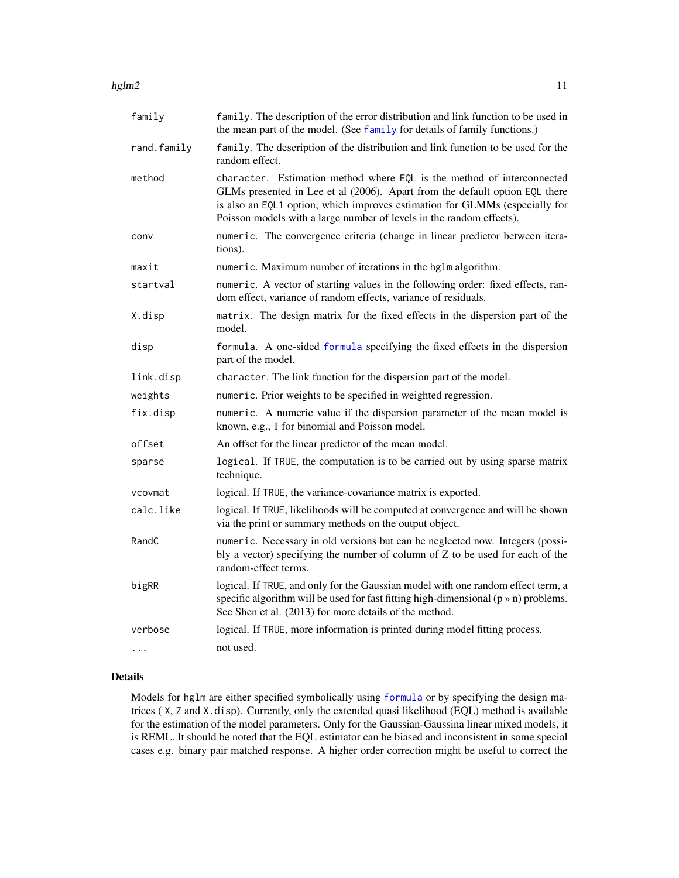#### <span id="page-10-0"></span>hglm2  $11$

| family      | family. The description of the error distribution and link function to be used in<br>the mean part of the model. (See family for details of family functions.)                                                                                                                                               |
|-------------|--------------------------------------------------------------------------------------------------------------------------------------------------------------------------------------------------------------------------------------------------------------------------------------------------------------|
| rand.family | family. The description of the distribution and link function to be used for the<br>random effect.                                                                                                                                                                                                           |
| method      | character. Estimation method where EQL is the method of interconnected<br>GLMs presented in Lee et al (2006). Apart from the default option EQL there<br>is also an EQL1 option, which improves estimation for GLMMs (especially for<br>Poisson models with a large number of levels in the random effects). |
| conv        | numeric. The convergence criteria (change in linear predictor between itera-<br>tions).                                                                                                                                                                                                                      |
| maxit       | numeric. Maximum number of iterations in the hglm algorithm.                                                                                                                                                                                                                                                 |
| startval    | numeric. A vector of starting values in the following order: fixed effects, ran-<br>dom effect, variance of random effects, variance of residuals.                                                                                                                                                           |
| X.disp      | matrix. The design matrix for the fixed effects in the dispersion part of the<br>model.                                                                                                                                                                                                                      |
| disp        | formula. A one-sided formula specifying the fixed effects in the dispersion<br>part of the model.                                                                                                                                                                                                            |
| link.disp   | character. The link function for the dispersion part of the model.                                                                                                                                                                                                                                           |
| weights     | numeric. Prior weights to be specified in weighted regression.                                                                                                                                                                                                                                               |
| fix.disp    | numeric. A numeric value if the dispersion parameter of the mean model is<br>known, e.g., 1 for binomial and Poisson model.                                                                                                                                                                                  |
| offset      | An offset for the linear predictor of the mean model.                                                                                                                                                                                                                                                        |
| sparse      | logical. If TRUE, the computation is to be carried out by using sparse matrix<br>technique.                                                                                                                                                                                                                  |
| vcovmat     | logical. If TRUE, the variance-covariance matrix is exported.                                                                                                                                                                                                                                                |
| calc.like   | logical. If TRUE, likelihoods will be computed at convergence and will be shown<br>via the print or summary methods on the output object.                                                                                                                                                                    |
| RandC       | numeric. Necessary in old versions but can be neglected now. Integers (possi-<br>bly a vector) specifying the number of column of Z to be used for each of the<br>random-effect terms.                                                                                                                       |
| bigRR       | logical. If TRUE, and only for the Gaussian model with one random effect term, a<br>specific algorithm will be used for fast fitting high-dimensional $(p \times n)$ problems.<br>See Shen et al. (2013) for more details of the method.                                                                     |
| verbose     | logical. If TRUE, more information is printed during model fitting process.                                                                                                                                                                                                                                  |
| $\cdots$    | not used.                                                                                                                                                                                                                                                                                                    |

### Details

Models for hglm are either specified symbolically using [formula](#page-0-0) or by specifying the design matrices ( X, Z and X.disp). Currently, only the extended quasi likelihood (EQL) method is available for the estimation of the model parameters. Only for the Gaussian-Gaussina linear mixed models, it is REML. It should be noted that the EQL estimator can be biased and inconsistent in some special cases e.g. binary pair matched response. A higher order correction might be useful to correct the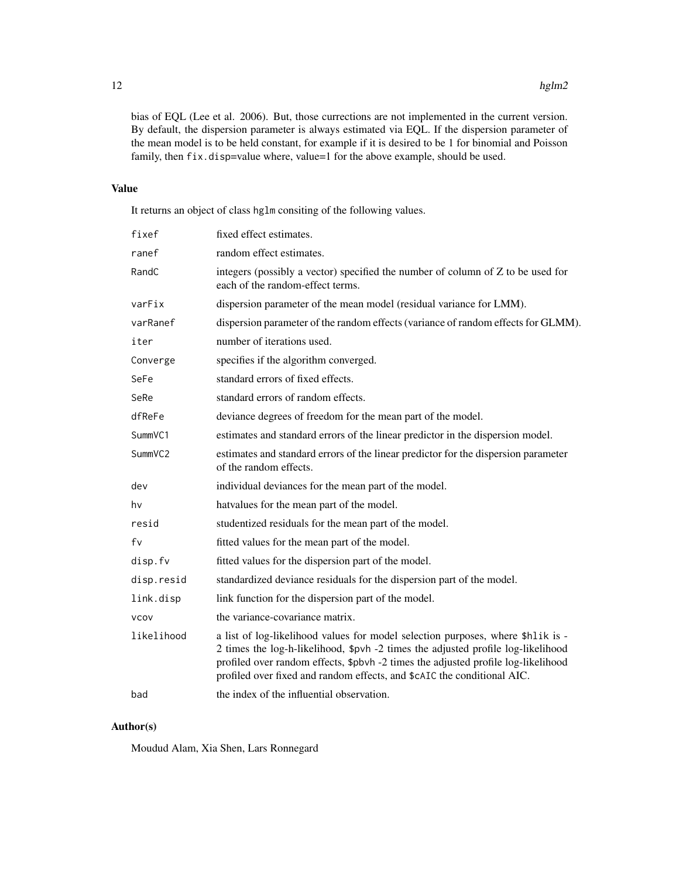bias of EQL (Lee et al. 2006). But, those currections are not implemented in the current version. By default, the dispersion parameter is always estimated via EQL. If the dispersion parameter of the mean model is to be held constant, for example if it is desired to be 1 for binomial and Poisson family, then fix.disp=value where, value=1 for the above example, should be used.

#### Value

It returns an object of class hglm consiting of the following values.

| fixef       | fixed effect estimates.                                                                                                                                                                                                                                                                                                             |
|-------------|-------------------------------------------------------------------------------------------------------------------------------------------------------------------------------------------------------------------------------------------------------------------------------------------------------------------------------------|
| ranef       | random effect estimates.                                                                                                                                                                                                                                                                                                            |
| RandC       | integers (possibly a vector) specified the number of column of Z to be used for<br>each of the random-effect terms.                                                                                                                                                                                                                 |
| varFix      | dispersion parameter of the mean model (residual variance for LMM).                                                                                                                                                                                                                                                                 |
| varRanef    | dispersion parameter of the random effects (variance of random effects for GLMM).                                                                                                                                                                                                                                                   |
| iter        | number of iterations used.                                                                                                                                                                                                                                                                                                          |
| Converge    | specifies if the algorithm converged.                                                                                                                                                                                                                                                                                               |
| SeFe        | standard errors of fixed effects.                                                                                                                                                                                                                                                                                                   |
| SeRe        | standard errors of random effects.                                                                                                                                                                                                                                                                                                  |
| dfReFe      | deviance degrees of freedom for the mean part of the model.                                                                                                                                                                                                                                                                         |
| SummVC1     | estimates and standard errors of the linear predictor in the dispersion model.                                                                                                                                                                                                                                                      |
| SummVC2     | estimates and standard errors of the linear predictor for the dispersion parameter<br>of the random effects.                                                                                                                                                                                                                        |
| dev         | individual deviances for the mean part of the model.                                                                                                                                                                                                                                                                                |
| hv          | hatvalues for the mean part of the model.                                                                                                                                                                                                                                                                                           |
| resid       | studentized residuals for the mean part of the model.                                                                                                                                                                                                                                                                               |
| fv          | fitted values for the mean part of the model.                                                                                                                                                                                                                                                                                       |
| disp.fv     | fitted values for the dispersion part of the model.                                                                                                                                                                                                                                                                                 |
| disp.resid  | standardized deviance residuals for the dispersion part of the model.                                                                                                                                                                                                                                                               |
| link.disp   | link function for the dispersion part of the model.                                                                                                                                                                                                                                                                                 |
| <b>VCOV</b> | the variance-covariance matrix.                                                                                                                                                                                                                                                                                                     |
| likelihood  | a list of log-likelihood values for model selection purposes, where \$h1ik is -<br>2 times the log-h-likelihood, \$pvh -2 times the adjusted profile log-likelihood<br>profiled over random effects, \$pbvh -2 times the adjusted profile log-likelihood<br>profiled over fixed and random effects, and \$cAIC the conditional AIC. |
| bad         | the index of the influential observation.                                                                                                                                                                                                                                                                                           |

#### Author(s)

Moudud Alam, Xia Shen, Lars Ronnegard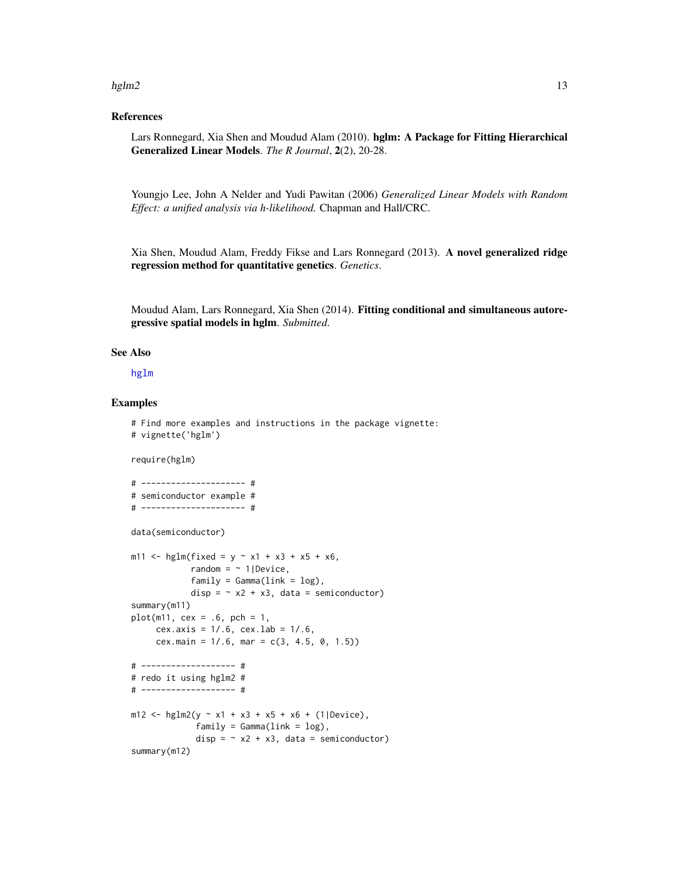#### <span id="page-12-0"></span>hglm2  $\mu$  13

#### References

Lars Ronnegard, Xia Shen and Moudud Alam (2010). hglm: A Package for Fitting Hierarchical Generalized Linear Models. *The R Journal*, 2(2), 20-28.

Youngjo Lee, John A Nelder and Yudi Pawitan (2006) *Generalized Linear Models with Random Effect: a unified analysis via h-likelihood.* Chapman and Hall/CRC.

Xia Shen, Moudud Alam, Freddy Fikse and Lars Ronnegard (2013). A novel generalized ridge regression method for quantitative genetics. *Genetics*.

Moudud Alam, Lars Ronnegard, Xia Shen (2014). Fitting conditional and simultaneous autoregressive spatial models in hglm. *Submitted*.

#### See Also

[hglm](#page-3-1)

#### Examples

```
# Find more examples and instructions in the package vignette:
# vignette('hglm')
require(hglm)
# --------------------- #
# semiconductor example #
# --------------------- #
data(semiconductor)
m11 <- hglm(fixed = y ~ x1 + x3 + x5 + x6,
            random = \sim 1|Device,
            family = Gamma(link = log),
            disp = \sim x2 + x3, data = semiconductor)
summary(m11)
plot(m11, cex = .6, pch = 1,cex.axis = 1/.6, cex.lab = 1/.6,
     cex.main = 1/.6, mar = c(3, 4.5, 0, 1.5))
# ------------------- #
# redo it using hglm2 #
# ------------------- #
m12 <- hglm2(y \sim x1 + x3 + x5 + x6 + (1|Device),
             family = Gamma(link = log),disp = \sim x2 + x3, data = semiconductor)
summary(m12)
```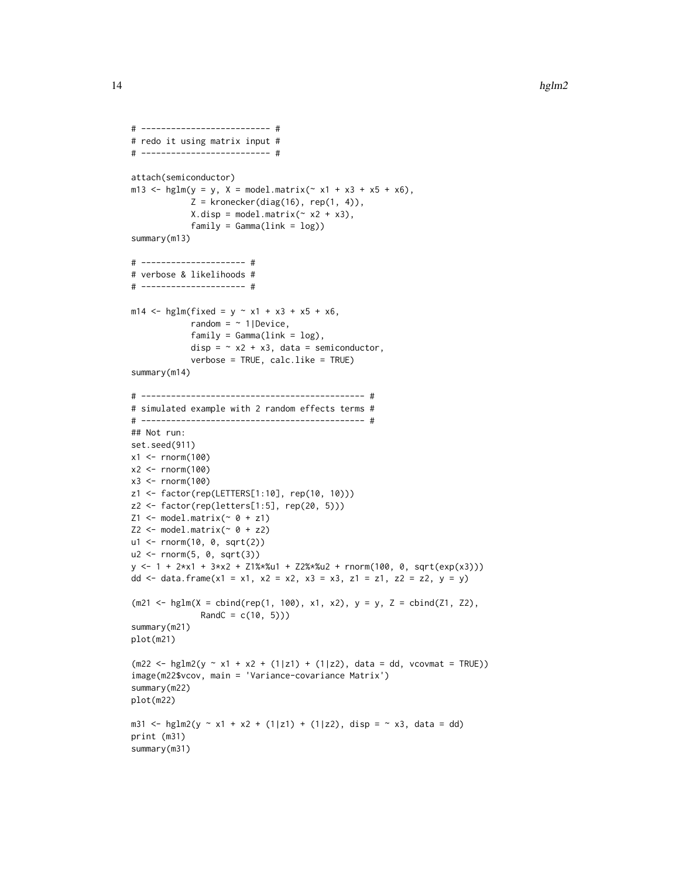```
# -------------------------- #
# redo it using matrix input #
# -------------------------- #
attach(semiconductor)
m13 <- hglm(y = y, X = model.matrix(\sim x1 + x3 + x5 + x6),
             Z = kronecker(diag(16), rep(1, 4)),
             X.disp = model.matrix(^x x2 + x3),family = Gamma(link = log))summary(m13)
# --------------------- #
# verbose & likelihoods #
# --------------------- #
m14 <- hglm(fixed = y ~ x1 + x3 + x5 + x6,
             random = ~1|Device,
             family = Gamma(link = log),
             disp = \sim x2 + x3, data = semiconductor,
             verbose = TRUE, calc.like = TRUE)
summary(m14)
# --------------------------------------------- #
# simulated example with 2 random effects terms #
# --------------------------------------------- #
## Not run:
set.seed(911)
x1 <- rnorm(100)x2 <- rnorm(100)
x3 < - rnorm(100)
z1 <- factor(rep(LETTERS[1:10], rep(10, 10)))
z2 <- factor(rep(letters[1:5], rep(20, 5)))
Z1 \leftarrow \text{model.matrix}(\sim \emptyset + z1)Z2 \leq - model.matrix(\sim 0 + z2)
u1 <- rnorm(10, 0, sqrt(2))
u2 <- rnorm(5, 0, sqrt(3))
y <- 1 + 2*x1 + 3*x2 + Z1%*%u1 + Z2%*%u2 + rnorm(100, 0, sqrt(exp(x3)))
dd <- data.frame(x1 = x1, x2 = x2, x3 = x3, z1 = z1, z2 = z2, y = y)
(m21 \leq -\text{hglm}(X = \text{cbind}(rep(1, 100), x1, x2), y = y, Z = \text{cbind}(Z1, Z2),RandC = c(10, 5))summary(m21)
plot(m21)
(m22 < - \text{hglm2}(y \sim x1 + x2 + (1|z1) + (1|z2), \text{data} = \text{dd}, \text{vcovmat} = \text{TRUE})image(m22$vcov, main = 'Variance-covariance Matrix')
summary(m22)
plot(m22)
m31 <- hglm2(y ~ x1 + x2 + (1|z1) + (1|z2), disp = ~ x3, data = dd)
print (m31)
summary(m31)
```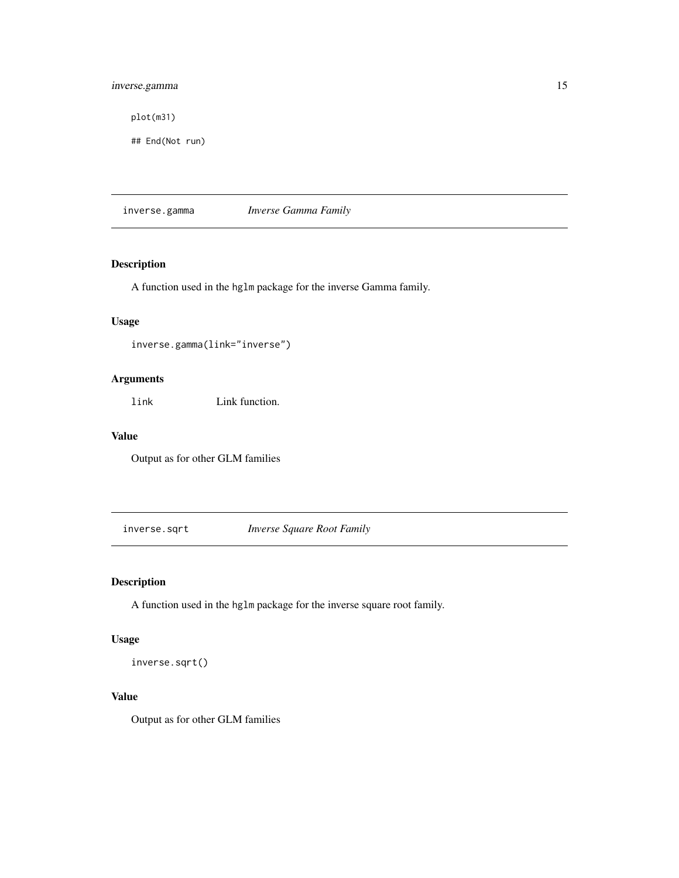#### <span id="page-14-0"></span>inverse.gamma 15

plot(m31)

## End(Not run)

inverse.gamma *Inverse Gamma Family*

### Description

A function used in the hglm package for the inverse Gamma family.

#### Usage

inverse.gamma(link="inverse")

#### Arguments

link Link function.

#### Value

Output as for other GLM families

inverse.sqrt *Inverse Square Root Family*

#### Description

A function used in the hglm package for the inverse square root family.

### Usage

inverse.sqrt()

#### Value

Output as for other GLM families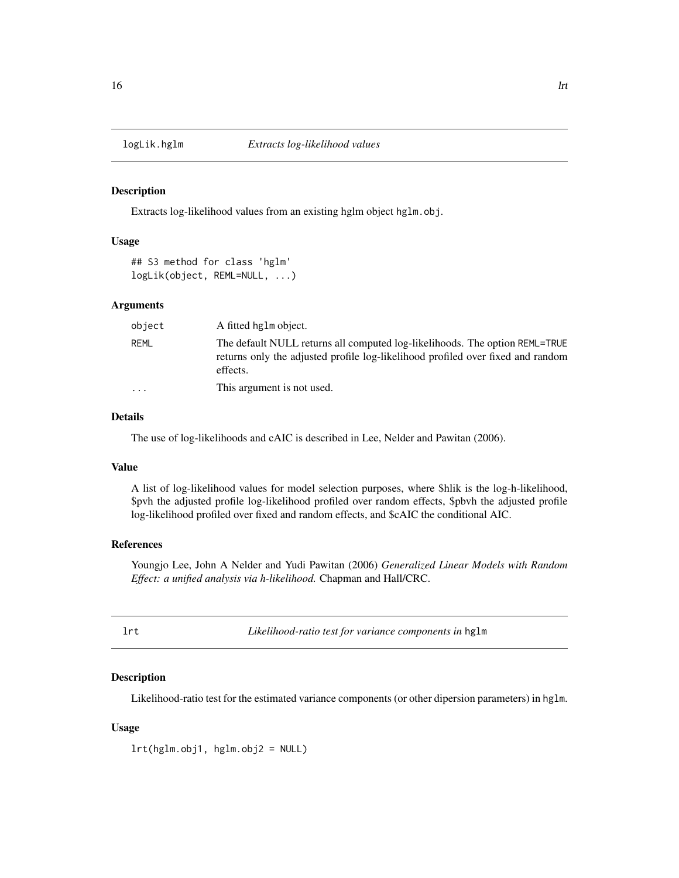<span id="page-15-0"></span>

#### Description

Extracts log-likelihood values from an existing hglm object hglm.obj.

#### Usage

```
## S3 method for class 'hglm'
logLik(object, REML=NULL, ...)
```
#### Arguments

| object            | A fitted hglm object.                                                                                                                                                      |
|-------------------|----------------------------------------------------------------------------------------------------------------------------------------------------------------------------|
| REML              | The default NULL returns all computed log-likelihoods. The option REML=TRUE<br>returns only the adjusted profile log-likelihood profiled over fixed and random<br>effects. |
| $\cdot\cdot\cdot$ | This argument is not used.                                                                                                                                                 |

#### Details

The use of log-likelihoods and cAIC is described in Lee, Nelder and Pawitan (2006).

#### Value

A list of log-likelihood values for model selection purposes, where \$hlik is the log-h-likelihood, \$pvh the adjusted profile log-likelihood profiled over random effects, \$pbvh the adjusted profile log-likelihood profiled over fixed and random effects, and \$cAIC the conditional AIC.

#### References

Youngjo Lee, John A Nelder and Yudi Pawitan (2006) *Generalized Linear Models with Random Effect: a unified analysis via h-likelihood.* Chapman and Hall/CRC.

|  | ۰. |  |
|--|----|--|
|  |    |  |
|  |    |  |
|  |    |  |

lrt *Likelihood-ratio test for variance components in* hglm

#### Description

Likelihood-ratio test for the estimated variance components (or other dipersion parameters) in hglm.

#### Usage

lrt(hglm.obj1, hglm.obj2 = NULL)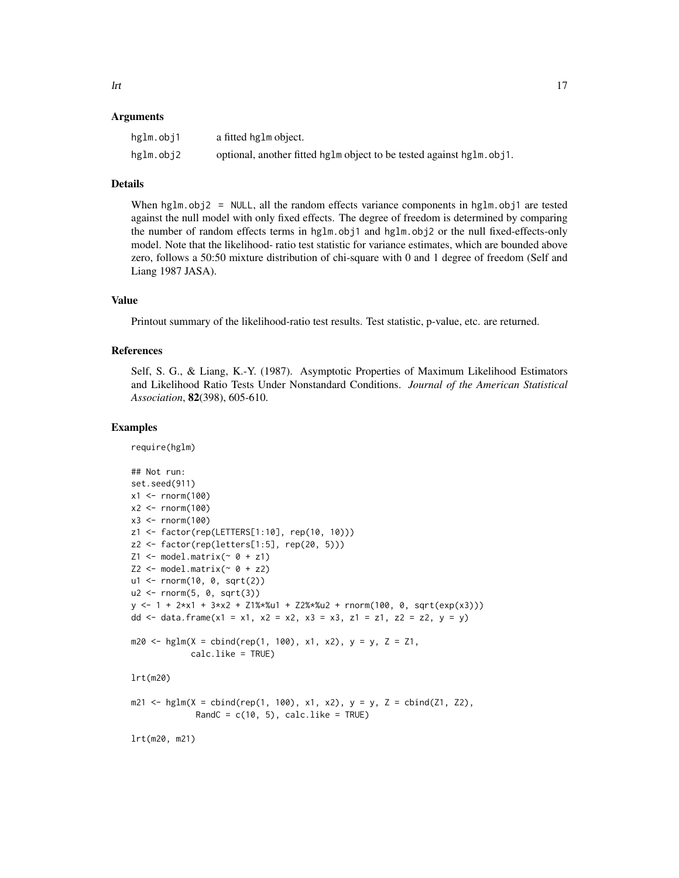#### Arguments

| hglm.obj1 | a fitted hglm object.                                                 |
|-----------|-----------------------------------------------------------------------|
| hglm.obj2 | optional, another fitted hglm object to be tested against hglm. obj1. |

#### Details

When  $hglm.$  obj2 = NULL, all the random effects variance components in  $hglm.$  obj1 are tested against the null model with only fixed effects. The degree of freedom is determined by comparing the number of random effects terms in hglm.obj1 and hglm.obj2 or the null fixed-effects-only model. Note that the likelihood- ratio test statistic for variance estimates, which are bounded above zero, follows a 50:50 mixture distribution of chi-square with 0 and 1 degree of freedom (Self and Liang 1987 JASA).

#### Value

Printout summary of the likelihood-ratio test results. Test statistic, p-value, etc. are returned.

#### References

Self, S. G., & Liang, K.-Y. (1987). Asymptotic Properties of Maximum Likelihood Estimators and Likelihood Ratio Tests Under Nonstandard Conditions. *Journal of the American Statistical Association*, 82(398), 605-610.

#### Examples

require(hglm)

```
## Not run:
set.seed(911)
x1 <- rnorm(100)x2 < - rnorm(100)
x3 < - rnorm(100)
z1 <- factor(rep(LETTERS[1:10], rep(10, 10)))
z2 <- factor(rep(letters[1:5], rep(20, 5)))
Z1 \leftarrow \text{model.matrix}(\sim \emptyset + z1)Z2 \leq model_matrix(\sim \emptyset + z2)u1 <- rnorm(10, 0, sqrt(2))
u2 \leq r rnorm(5, 0, sqrt(3))
y \le -1 + 2*x1 + 3*x2 + 21*x41 + 22*x42 + <b>rnorm(100, 0, sqrt(exp(x3)))</b>dd <- data.frame(x1 = x1, x2 = x2, x3 = x3, z1 = z1, z2 = z2, y = y)
m20 \le - \text{hglm}(X = \text{cbind}(\text{rep}(1, 100), x1, x2), y = y, Z = Z1,calc.like = TRUE)
lrt(m20)
m21 <- hglm(X = cbind(rep(1, 100), x1, x2), y = y, Z = cbind(Z1, Z2),
              RandC = c(10, 5), calc.like = TRUE)
lrt(m20, m21)
```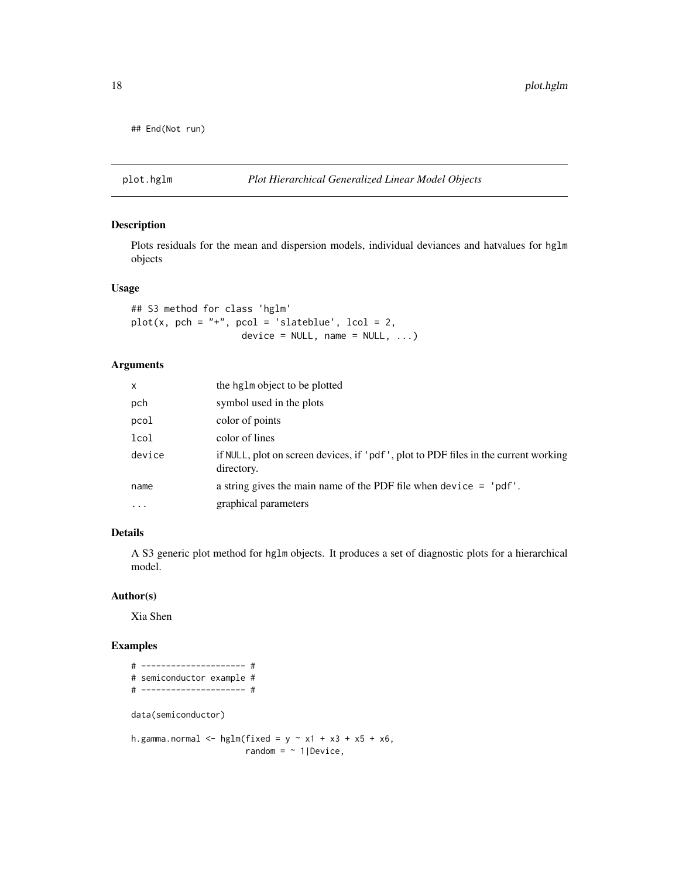```
## End(Not run)
```
#### <span id="page-17-1"></span>plot.hglm *Plot Hierarchical Generalized Linear Model Objects*

#### Description

Plots residuals for the mean and dispersion models, individual deviances and hatvalues for hglm objects

#### Usage

## S3 method for class 'hglm'  $plot(x, pch = "+'", pcol = 'slateblue', lcol = 2,$  $device = NULL, name = NULL, ...)$ 

#### Arguments

| $\mathsf{x}$ | the hglm object to be plotted                                                                     |
|--------------|---------------------------------------------------------------------------------------------------|
| pch          | symbol used in the plots                                                                          |
| pcol         | color of points                                                                                   |
| lcol         | color of lines                                                                                    |
| device       | if NULL, plot on screen devices, if 'pdf', plot to PDF files in the current working<br>directory. |
| name         | a string gives the main name of the PDF file when device $=$ 'pdf'.                               |
| $\ddotsc$    | graphical parameters                                                                              |

#### Details

A S3 generic plot method for hglm objects. It produces a set of diagnostic plots for a hierarchical model.

#### Author(s)

Xia Shen

#### Examples

```
# --------------------- #
# semiconductor example #
# --------------------- #
data(semiconductor)
h.gamma.normal \leq - hglm(fixed = y \sim x1 + x3 + x5 + x6,
                       random = ~1|Device,
```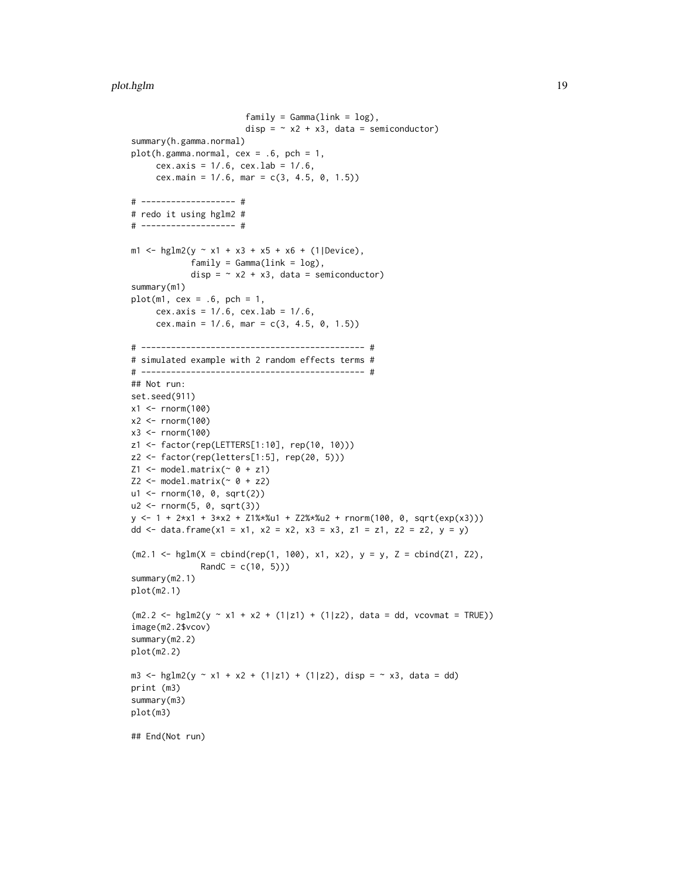#### plot.hglm to the contract of the contract of the contract of the contract of the contract of the contract of the contract of the contract of the contract of the contract of the contract of the contract of the contract of t

```
family = Gamma(link = log),
                        disp = \sim x2 + x3, data = semiconductor)
summary(h.gamma.normal)
plot(h.gamma.normal, cex = .6, pch = 1,cex.axis = 1/.6, cex.lab = 1/.6,
     cex.main = 1/.6, mar = c(3, 4.5, 0, 1.5))
# ------------------- #
# redo it using hglm2 #
# ------------------- #
m1 <- hglm2(y ~ x1 + x3 + x5 + x6 + (1|Device),
            family = Gamma(link = log),
            disp = \sim x2 + x3, data = semiconductor)
summary(m1)
plot(m1, cex = .6, pch = 1,cex.axis = 1/.6, cex.lab = 1/.6,
     cex.main = 1/.6, mar = c(3, 4.5, 0, 1.5))
# --------------------------------------------- #
# simulated example with 2 random effects terms #
# --------------------------------------------- #
## Not run:
set.seed(911)
x1 <- rnorm(100)x2 <- rnorm(100)
x3 < - rnorm(100)
z1 <- factor(rep(LETTERS[1:10], rep(10, 10)))
z2 <- factor(rep(letters[1:5], rep(20, 5)))
Z1 \leftarrow model.matrix(\sim 0 + z1)Z2 \leq model_matrix(~ 0 + z2)
u1 <- rnorm(10, 0, sqrt(2))
u2 <- rnorm(5, 0, sqrt(3))
y \le -1 + 2*x1 + 3*x2 + 21*x2w1 + 22*x2w2 + \text{norm}(100, 0, \text{sqrt}(exp(x3))))dd <- data.frame(x1 = x1, x2 = x2, x3 = x3, z1 = z1, z2 = z2, y = y)
(m2.1 \leq hglm(X = \text{cbind}(rep(1, 100), x1, x2), y = y, Z = \text{cbind}(Z1, Z2),RandC = c(10, 5))summary(m2.1)
plot(m2.1)
(m2.2 \leq - \text{hglm2}(y \leq x1 + x2 + (1|z1) + (1|z2), \text{ data = dd, vcovmat = TRUE}))image(m2.2$vcov)
summary(m2.2)
plot(m2.2)
m3 <- hglm2(y ~ x1 + x2 + (1|z1) + (1|z2), disp = ~ x3, data = dd)
print (m3)
summary(m3)
plot(m3)
## End(Not run)
```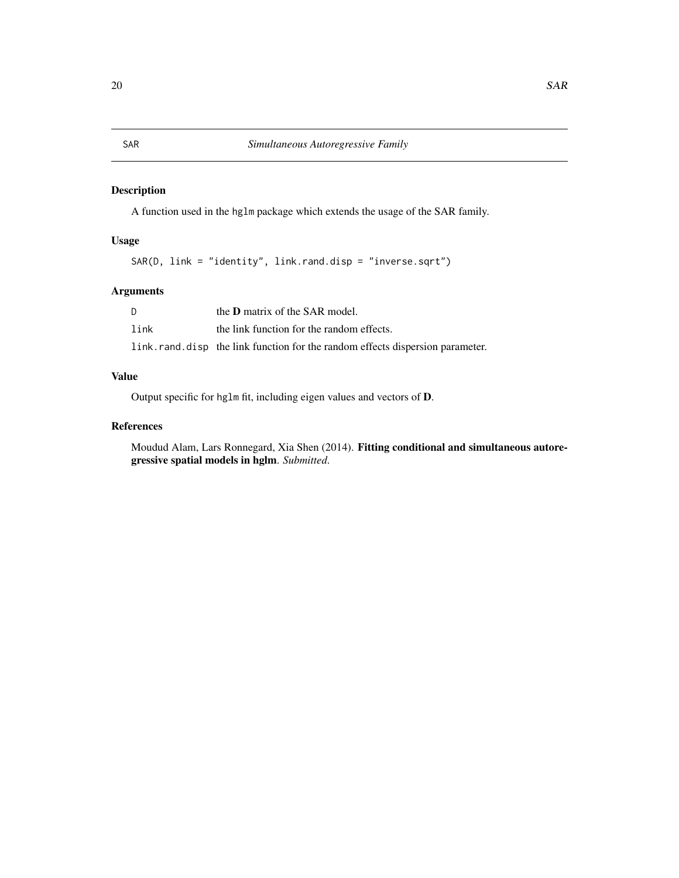#### <span id="page-19-0"></span>Description

A function used in the hglm package which extends the usage of the SAR family.

#### Usage

```
SAR(D, link = "identity", link.rand.disp = "inverse.sqrt")
```
#### Arguments

| D    | the <b>D</b> matrix of the SAR model.                                         |
|------|-------------------------------------------------------------------------------|
| link | the link function for the random effects.                                     |
|      | link.rand.disp the link function for the random effects dispersion parameter. |

#### Value

Output specific for hglm fit, including eigen values and vectors of D.

#### References

Moudud Alam, Lars Ronnegard, Xia Shen (2014). Fitting conditional and simultaneous autoregressive spatial models in hglm. *Submitted*.